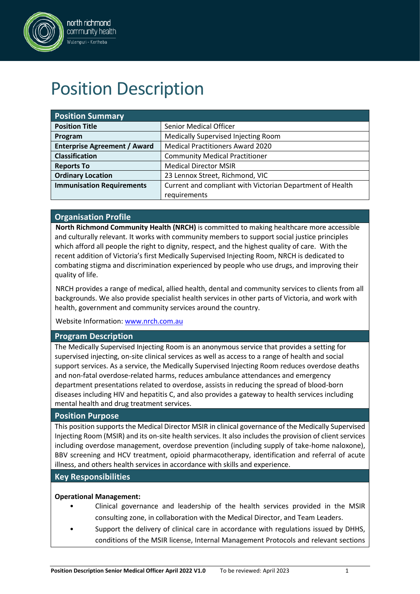

# Position Description

| <b>Position Summary</b>             |                                                           |  |  |  |
|-------------------------------------|-----------------------------------------------------------|--|--|--|
| <b>Position Title</b>               | <b>Senior Medical Officer</b>                             |  |  |  |
| Program                             | Medically Supervised Injecting Room                       |  |  |  |
| <b>Enterprise Agreement / Award</b> | <b>Medical Practitioners Award 2020</b>                   |  |  |  |
| <b>Classification</b>               | <b>Community Medical Practitioner</b>                     |  |  |  |
| <b>Reports To</b>                   | <b>Medical Director MSIR</b>                              |  |  |  |
| <b>Ordinary Location</b>            | 23 Lennox Street, Richmond, VIC                           |  |  |  |
| <b>Immunisation Requirements</b>    | Current and compliant with Victorian Department of Health |  |  |  |
|                                     | requirements                                              |  |  |  |

## **Organisation Profile**

**North Richmond Community Health (NRCH)** is committed to making healthcare more accessible and culturally relevant. It works with community members to support social justice principles which afford all people the right to dignity, respect, and the highest quality of care. With the recent addition of Victoria's first Medically Supervised Injecting Room, NRCH is dedicated to combating stigma and discrimination experienced by people who use drugs, and improving their quality of life.

NRCH provides a range of medical, allied health, dental and community services to clients from all backgrounds. We also provide specialist health services in other parts of Victoria, and work with health, government and community services around the country.

Website Information: [www.nrch.com.au](http://www.nrch.com.au/)

## **Program Description**

The Medically Supervised Injecting Room is an anonymous service that provides a setting for supervised injecting, on-site clinical services as well as access to a range of health and social support services. As a service, the Medically Supervised Injecting Room reduces overdose deaths and non-fatal overdose-related harms, reduces ambulance attendances and emergency department presentations related to overdose, assists in reducing the spread of blood-born diseases including HIV and hepatitis C, and also provides a gateway to health services including mental health and drug treatment services.

## **Position Purpose**

This position supports the Medical Director MSIR in clinical governance of the Medically Supervised Injecting Room (MSIR) and its on-site health services. It also includes the provision of client services including overdose management, overdose prevention (including supply of take-home naloxone), BBV screening and HCV treatment, opioid pharmacotherapy, identification and referral of acute illness, and others health services in accordance with skills and experience.

## **Key Responsibilities**

## **Operational Management:**

- Clinical governance and leadership of the health services provided in the MSIR consulting zone, in collaboration with the Medical Director, and Team Leaders.
- Support the delivery of clinical care in accordance with regulations issued by DHHS, conditions of the MSIR license, Internal Management Protocols and relevant sections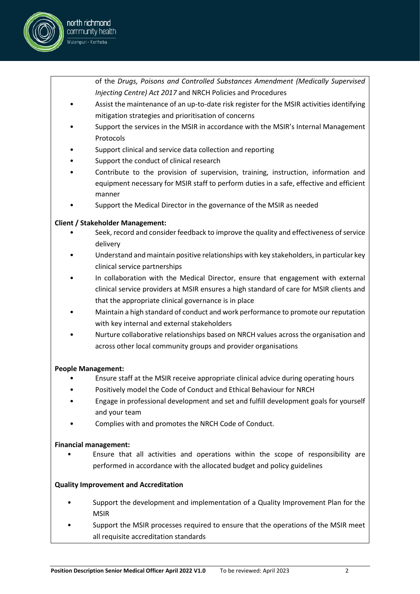

of the *Drugs, Poisons and Controlled Substances Amendment (Medically Supervised Injecting Centre) Act 2017* and NRCH Policies and Procedures

- Assist the maintenance of an up-to-date risk register for the MSIR activities identifying mitigation strategies and prioritisation of concerns
- Support the services in the MSIR in accordance with the MSIR's Internal Management Protocols
- Support clinical and service data collection and reporting
- Support the conduct of clinical research
- Contribute to the provision of supervision, training, instruction, information and equipment necessary for MSIR staff to perform duties in a safe, effective and efficient manner
- Support the Medical Director in the governance of the MSIR as needed

## **Client / Stakeholder Management:**

- Seek, record and consider feedback to improve the quality and effectiveness of service delivery
- Understand and maintain positive relationships with key stakeholders, in particular key clinical service partnerships
- In collaboration with the Medical Director, ensure that engagement with external clinical service providers at MSIR ensures a high standard of care for MSIR clients and that the appropriate clinical governance is in place
- Maintain a high standard of conduct and work performance to promote our reputation with key internal and external stakeholders
- Nurture collaborative relationships based on NRCH values across the organisation and across other local community groups and provider organisations

## **People Management:**

- Ensure staff at the MSIR receive appropriate clinical advice during operating hours
- Positively model the Code of Conduct and Ethical Behaviour for NRCH
- Engage in professional development and set and fulfill development goals for yourself and your team
- Complies with and promotes the NRCH Code of Conduct.

## **Financial management:**

• Ensure that all activities and operations within the scope of responsibility are performed in accordance with the allocated budget and policy guidelines

## **Quality Improvement and Accreditation**

- Support the development and implementation of a Quality Improvement Plan for the MSIR
- Support the MSIR processes required to ensure that the operations of the MSIR meet all requisite accreditation standards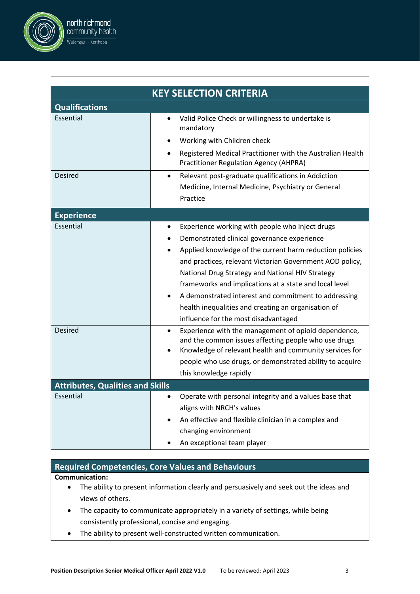

|                                         | <b>KEY SELECTION CRITERIA</b>                                                                                                                                                        |  |  |  |  |  |
|-----------------------------------------|--------------------------------------------------------------------------------------------------------------------------------------------------------------------------------------|--|--|--|--|--|
| <b>Qualifications</b>                   |                                                                                                                                                                                      |  |  |  |  |  |
| Essential                               | Valid Police Check or willingness to undertake is<br>$\bullet$<br>mandatory                                                                                                          |  |  |  |  |  |
|                                         | Working with Children check                                                                                                                                                          |  |  |  |  |  |
|                                         | Registered Medical Practitioner with the Australian Health<br>Practitioner Regulation Agency (AHPRA)                                                                                 |  |  |  |  |  |
| <b>Desired</b>                          | Relevant post-graduate qualifications in Addiction<br>$\bullet$                                                                                                                      |  |  |  |  |  |
|                                         | Medicine, Internal Medicine, Psychiatry or General                                                                                                                                   |  |  |  |  |  |
|                                         | Practice                                                                                                                                                                             |  |  |  |  |  |
| <b>Experience</b>                       |                                                                                                                                                                                      |  |  |  |  |  |
| Essential                               | Experience working with people who inject drugs                                                                                                                                      |  |  |  |  |  |
|                                         | Demonstrated clinical governance experience                                                                                                                                          |  |  |  |  |  |
|                                         | Applied knowledge of the current harm reduction policies                                                                                                                             |  |  |  |  |  |
|                                         | and practices, relevant Victorian Government AOD policy,                                                                                                                             |  |  |  |  |  |
|                                         | National Drug Strategy and National HIV Strategy                                                                                                                                     |  |  |  |  |  |
|                                         | frameworks and implications at a state and local level                                                                                                                               |  |  |  |  |  |
|                                         | A demonstrated interest and commitment to addressing                                                                                                                                 |  |  |  |  |  |
|                                         | health inequalities and creating an organisation of                                                                                                                                  |  |  |  |  |  |
|                                         | influence for the most disadvantaged                                                                                                                                                 |  |  |  |  |  |
| Desired                                 | Experience with the management of opioid dependence,<br>$\bullet$<br>and the common issues affecting people who use drugs<br>Knowledge of relevant health and community services for |  |  |  |  |  |
|                                         | people who use drugs, or demonstrated ability to acquire                                                                                                                             |  |  |  |  |  |
|                                         | this knowledge rapidly                                                                                                                                                               |  |  |  |  |  |
| <b>Attributes, Qualities and Skills</b> |                                                                                                                                                                                      |  |  |  |  |  |
| Essential                               | Operate with personal integrity and a values base that                                                                                                                               |  |  |  |  |  |
|                                         | aligns with NRCH's values                                                                                                                                                            |  |  |  |  |  |
|                                         | An effective and flexible clinician in a complex and                                                                                                                                 |  |  |  |  |  |
|                                         | changing environment                                                                                                                                                                 |  |  |  |  |  |
|                                         | An exceptional team player                                                                                                                                                           |  |  |  |  |  |

## **Required Competencies, Core Values and Behaviours**

**Communication:**

- The ability to present information clearly and persuasively and seek out the ideas and views of others.
- The capacity to communicate appropriately in a variety of settings, while being consistently professional, concise and engaging.
- The ability to present well-constructed written communication.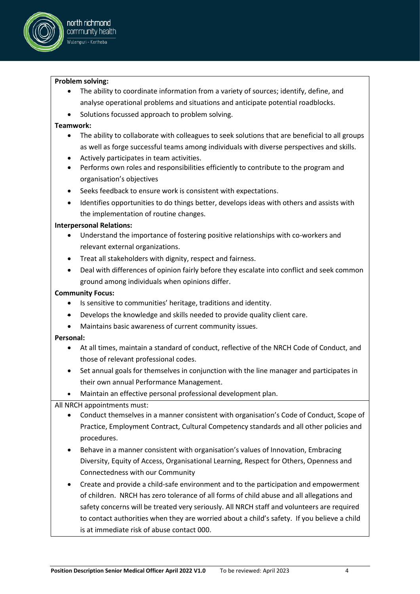

## **Problem solving:**

- The ability to coordinate information from a variety of sources; identify, define, and analyse operational problems and situations and anticipate potential roadblocks.
- Solutions focussed approach to problem solving.

## **Teamwork:**

- The ability to collaborate with colleagues to seek solutions that are beneficial to all groups as well as forge successful teams among individuals with diverse perspectives and skills.
- Actively participates in team activities.
- Performs own roles and responsibilities efficiently to contribute to the program and organisation's objectives
- Seeks feedback to ensure work is consistent with expectations.
- Identifies opportunities to do things better, develops ideas with others and assists with the implementation of routine changes.

## **Interpersonal Relations:**

- Understand the importance of fostering positive relationships with co-workers and relevant external organizations.
- Treat all stakeholders with dignity, respect and fairness.
- Deal with differences of opinion fairly before they escalate into conflict and seek common ground among individuals when opinions differ.

## **Community Focus:**

- Is sensitive to communities' heritage, traditions and identity.
- Develops the knowledge and skills needed to provide quality client care.
- Maintains basic awareness of current community issues.

## **Personal:**

- At all times, maintain a standard of conduct, reflective of the NRCH Code of Conduct, and those of relevant professional codes.
- Set annual goals for themselves in conjunction with the line manager and participates in their own annual Performance Management.
- Maintain an effective personal professional development plan.

All NRCH appointments must:

- Conduct themselves in a manner consistent with organisation's Code of Conduct, Scope of Practice, Employment Contract, Cultural Competency standards and all other policies and procedures.
- Behave in a manner consistent with organisation's values of Innovation, Embracing Diversity, Equity of Access, Organisational Learning, Respect for Others, Openness and Connectedness with our Community
- Create and provide a child-safe environment and to the participation and empowerment of children. NRCH has zero tolerance of all forms of child abuse and all allegations and safety concerns will be treated very seriously. All NRCH staff and volunteers are required to contact authorities when they are worried about a child's safety. If you believe a child is at immediate risk of abuse contact 000.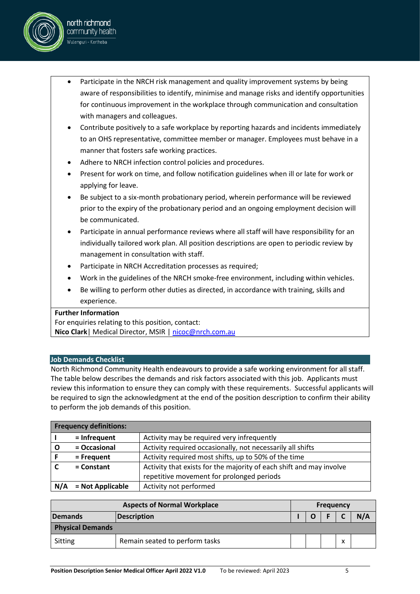

- Contribute positively to a safe workplace by reporting hazards and incidents immediately to an OHS representative, committee member or manager. Employees must behave in a manner that fosters safe working practices.
- Adhere to NRCH infection control policies and procedures.
- Present for work on time, and follow notification guidelines when ill or late for work or applying for leave.
- Be subject to a six-month probationary period, wherein performance will be reviewed prior to the expiry of the probationary period and an ongoing employment decision will be communicated.
- Participate in annual performance reviews where all staff will have responsibility for an individually tailored work plan. All position descriptions are open to periodic review by management in consultation with staff.
- Participate in NRCH Accreditation processes as required;
- Work in the guidelines of the NRCH smoke-free environment, including within vehicles.
- Be willing to perform other duties as directed, in accordance with training, skills and experience.

## **Further Information**

north richmond community health .<br>Wulempuri - Kertheba

For enquiries relating to this position, contact: **Nico Clark**| Medical Director, MSIR | nicoc@nrch.com.au

## **Job Demands Checklist**

North Richmond Community Health endeavours to provide a safe working environment for all staff. The table below describes the demands and risk factors associated with this job. Applicants must review this information to ensure they can comply with these requirements. Successful applicants will be required to sign the acknowledgment at the end of the position description to confirm their ability to perform the job demands of this position.

|     | <b>Frequency definitions:</b>                                                       |                                            |  |  |  |
|-----|-------------------------------------------------------------------------------------|--------------------------------------------|--|--|--|
|     | = Infrequent                                                                        | Activity may be required very infrequently |  |  |  |
|     | = Occasional<br>Activity required occasionally, not necessarily all shifts          |                                            |  |  |  |
|     | Activity required most shifts, up to 50% of the time<br>= Frequent                  |                                            |  |  |  |
|     | Activity that exists for the majority of each shift and may involve<br>$=$ Constant |                                            |  |  |  |
|     |                                                                                     | repetitive movement for prolonged periods  |  |  |  |
| N/A | = Not Applicable                                                                    | Activity not performed                     |  |  |  |

| <b>Aspects of Normal Workplace</b> |                                | <b>Frequency</b> |  |  |   |     |
|------------------------------------|--------------------------------|------------------|--|--|---|-----|
| <b>Demands</b>                     | <b>Description</b>             |                  |  |  |   | N/A |
| <b>Physical Demands</b>            |                                |                  |  |  |   |     |
| Sitting                            | Remain seated to perform tasks |                  |  |  | v |     |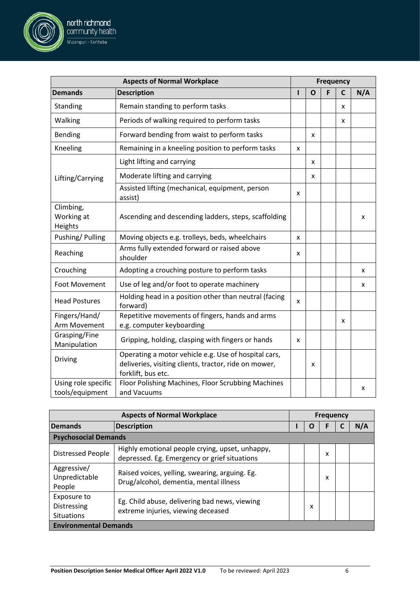

north richmond community health .<br>Wulempuri - Kertheba

| <b>Aspects of Normal Workplace</b>              |                                                                                                 | <b>Frequency</b> |   |   |  |     |  |
|-------------------------------------------------|-------------------------------------------------------------------------------------------------|------------------|---|---|--|-----|--|
| <b>Demands</b>                                  | <b>Description</b>                                                                              |                  | O |   |  | N/A |  |
|                                                 | <b>Psychosocial Demands</b>                                                                     |                  |   |   |  |     |  |
| <b>Distressed People</b>                        | Highly emotional people crying, upset, unhappy,<br>depressed. Eg. Emergency or grief situations |                  |   | x |  |     |  |
| Aggressive/<br>Unpredictable<br>People          | Raised voices, yelling, swearing, arguing. Eg.<br>Drug/alcohol, dementia, mental illness        |                  |   | x |  |     |  |
| Exposure to<br>Distressing<br><b>Situations</b> | Eg. Child abuse, delivering bad news, viewing<br>extreme injuries, viewing deceased             |                  | x |   |  |     |  |
| <b>Environmental Demands</b>                    |                                                                                                 |                  |   |   |  |     |  |